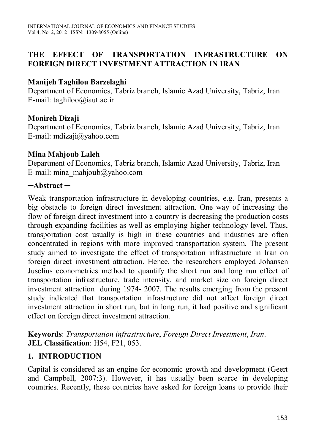## **THE EFFECT OF TRANSPORTATION INFRASTRUCTURE ON FOREIGN DIRECT INVESTMENT ATTRACTION IN IRAN**

#### **Manijeh Taghilou Barzelaghi**

Department of Economics, Tabriz branch, Islamic Azad University, Tabriz, Iran E-mail: taghiloo@iaut.ac.ir

#### **Monireh Dizaji**

Department of Economics, Tabriz branch, Islamic Azad University, Tabriz, Iran E-mail: mdizaji@yahoo.com

#### **Mina Mahjoub Laleh**

Department of Economics, Tabriz branch, Islamic Azad University, Tabriz, Iran E-mail: mina\_mahjoub@yahoo.com

#### **─Abstract ─**

Weak transportation infrastructure in developing countries, e.g. Iran, presents a big obstacle to foreign direct investment attraction. One way of increasing the flow of foreign direct investment into a country is decreasing the production costs through expanding facilities as well as employing higher technology level. Thus, transportation cost usually is high in these countries and industries are often concentrated in regions with more improved transportation system. The present study aimed to investigate the effect of transportation infrastructure in Iran on foreign direct investment attraction. Hence, the researchers employed Johansen Juselius econometrics method to quantify the short run and long run effect of transportation infrastructure, trade intensity, and market size on foreign direct investment attraction during 1974- 2007. The results emerging from the present study indicated that transportation infrastructure did not affect foreign direct investment attraction in short run, but in long run, it had positive and significant effect on foreign direct investment attraction.

**Keywords**: *Transportation infrastructure*, *Foreign Direct Investment*, *Iran*. **JEL Classification**: H54, F21, 053.

## **1. INTRODUCTION**

Capital is considered as an engine for economic growth and development (Geert and Campbell, 2007:3). However, it has usually been scarce in developing countries. Recently, these countries have asked for foreign loans to provide their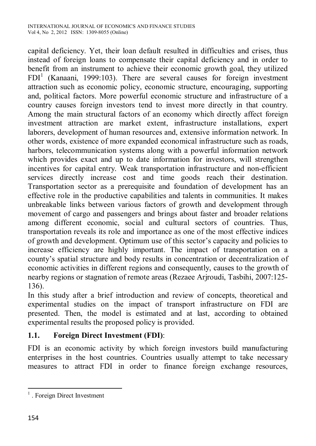capital deficiency. Yet, their loan default resulted in difficulties and crises, thus instead of foreign loans to compensate their capital deficiency and in order to benefit from an instrument to achieve their economic growth goal, they utilized  $FDI<sup>1</sup>$  (Kanaani, 1999:103). There are several causes for foreign investment attraction such as economic policy, economic structure, encouraging, supporting and, political factors. More powerful economic structure and infrastructure of a country causes foreign investors tend to invest more directly in that country. Among the main structural factors of an economy which directly affect foreign investment attraction are market extent, infrastructure installations, expert laborers, development of human resources and, extensive information network. In other words, existence of more expanded economical infrastructure such as roads, harbors, telecommunication systems along with a powerful information network which provides exact and up to date information for investors, will strengthen incentives for capital entry. Weak transportation infrastructure and non-efficient services directly increase cost and time goods reach their destination. Transportation sector as a prerequisite and foundation of development has an effective role in the productive capabilities and talents in communities. It makes unbreakable links between various factors of growth and development through movement of cargo and passengers and brings about faster and broader relations among different economic, social and cultural sectors of countries. Thus, transportation reveals its role and importance as one of the most effective indices of growth and development. Optimum use of this sector's capacity and policies to increase efficiency are highly important. The impact of transportation on a county's spatial structure and body results in concentration or decentralization of economic activities in different regions and consequently, causes to the growth of nearby regions or stagnation of remote areas (Rezaee Arjroudi, Tasbihi, 2007:125- 136).

In this study after a brief introduction and review of concepts, theoretical and experimental studies on the impact of transport infrastructure on FDI are presented. Then, the model is estimated and at last, according to obtained experimental results the proposed policy is provided.

## **1.1. Foreign Direct Investment (FDI)**:

FDI is an economic activity by which foreign investors build manufacturing enterprises in the host countries. Countries usually attempt to take necessary measures to attract FDI in order to finance foreign exchange resources,

<sup>&</sup>lt;sup>1</sup>. Foreign Direct Investment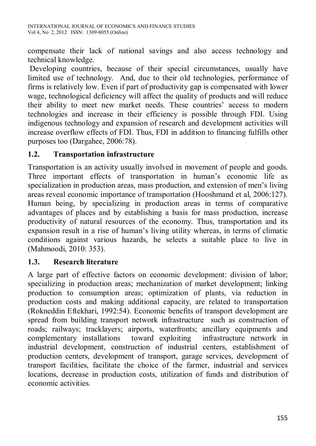compensate their lack of national savings and also access technology and technical knowledge.

 Developing countries, because of their special circumstances, usually have limited use of technology. And, due to their old technologies, performance of firms is relatively low. Even if part of productivity gap is compensated with lower wage, technological deficiency will affect the quality of products and will reduce their ability to meet new market needs. These countries' access to modern technologies and increase in their efficiency is possible through FDI. Using indigenous technology and expansion of research and development activities will increase overflow effects of FDI. Thus, FDI in addition to financing fulfills other purposes too (Dargahee, 2006:78).

# **1.2. Transportation infrastructure**

Transportation is an activity usually involved in movement of people and goods. Three important effects of transportation in human's economic life as specialization in production areas, mass production, and extension of men's living areas reveal economic importance of transportation (Hooshmand et al, 2006:127). Human being, by specializing in production areas in terms of comparative advantages of places and by establishing a basis for mass production, increase productivity of natural resources of the economy. Thus, transportation and its expansion result in a rise of human's living utility whereas, in terms of climatic conditions against various hazards, he selects a suitable place to live in (Mahmoodi, 2010: 353).

## **1.3. Research literature**

A large part of effective factors on economic development: division of labor; specializing in production areas; mechanization of market development; linking production to consumption areas; optimization of plants, via reduction in production costs and making additional capacity, are related to transportation (Rokneddin Eftekhari, 1992:54). Economic benefits of transport development are spread from building transport network infrastructure such as construction of roads; railways; tracklayers; airports, waterfronts; ancillary equipments and complementary installations toward exploiting infrastructure network in industrial development, construction of industrial centers, establishment of production centers, development of transport, garage services, development of transport facilities, facilitate the choice of the farmer, industrial and services locations, decrease in production costs, utilization of funds and distribution of economic activities.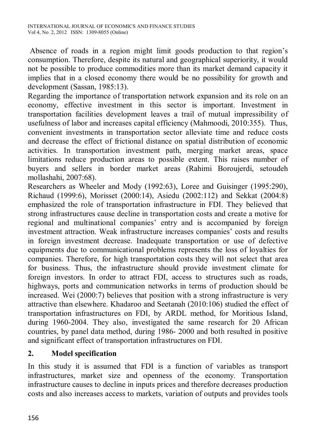Absence of roads in a region might limit goods production to that region's consumption. Therefore, despite its natural and geographical superiority, it would not be possible to produce commodities more than its market demand capacity it implies that in a closed economy there would be no possibility for growth and development (Sassan, 1985:13).

Regarding the importance of transportation network expansion and its role on an economy, effective investment in this sector is important. Investment in transportation facilities development leaves a trail of mutual impressibility of usefulness of labor and increases capital efficiency (Mahmoodi, 2010:355). Thus, convenient investments in transportation sector alleviate time and reduce costs and decrease the effect of frictional distance on spatial distribution of economic activities. In transportation investment path, merging market areas, space limitations reduce production areas to possible extent. This raises number of buyers and sellers in border market areas (Rahimi Boroujerdi, setoudeh mollashahi, 2007:68).

Researchers as Wheeler and Mody (1992:63), Loree and Guisinger (1995:290), Richaud (1999:6), Morisset (2000:14), Asiedu (2002:112) and Sekkat (2004:8) emphasized the role of transportation infrastructure in FDI. They believed that strong infrastructures cause decline in transportation costs and create a motive for regional and multinational companies' entry and is accompanied by foreign investment attraction. Weak infrastructure increases companies' costs and results in foreign investment decrease. Inadequate transportation or use of defective equipments due to communicational problems represents the loss of loyalties for companies. Therefore, for high transportation costs they will not select that area for business. Thus, the infrastructure should provide investment climate for foreign investors. In order to attract FDI, access to structures such as roads, highways, ports and communication networks in terms of production should be increased. Wei (2000:7) believes that position with a strong infrastructure is very attractive than elsewhere. Khadaroo and Seetanah (2010:106) studied the effect of transportation infrastructures on FDI, by ARDL method, for Moritious Island, during 1960-2004. They also, investigated the same research for 20 African countries, by panel data method, during 1986- 2000 and both resulted in positive and significant effect of transportation infrastructures on FDI.

## **2. Model specification**

In this study it is assumed that FDI is a function of variables as transport infrastructures, market size and openness of the economy. Transportation infrastructure causes to decline in inputs prices and therefore decreases production costs and also increases access to markets, variation of outputs and provides tools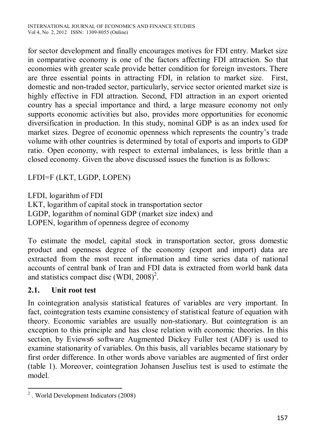for sector development and finally encourages motives for FDI entry. Market size in comparative economy is one of the factors affecting FDI attraction. So that economies with greater scale provide better condition for foreign investors. There are three essential points in attracting FDI, in relation to market size. First, domestic and non-traded sector, particularly, service sector oriented market size is highly effective in FDI attraction. Second, FDI attraction in an export oriented country has a special importance and third, a large measure economy not only supports economic activities but also, provides more opportunities for economic diversification in production. In this study, nominal GDP is as an index used for market sizes. Degree of economic openness which represents the country's trade volume with other countries is determined by total of exports and imports to GDP ratio. Open economy, with respect to external imbalances, is less brittle than a closed economy. Given the above discussed issues the function is as follows:

LFDI=F (LKT, LGDP, LOPEN)

LFDI, logarithm of FDI LKT, logarithm of capital stock in transportation sector LGDP, logarithm of nominal GDP (market size index) and LOPEN, logarithm of openness degree of economy

To estimate the model, capital stock in transportation sector, gross domestic product and openness degree of the economy (export and import) data are extracted from the most recent information and time series data of national accounts of central bank of Iran and FDI data is extracted from world bank data and statistics compact disc (WDI,  $2008$ )<sup>2</sup>.

## **2.1. Unit root test**

In cointegration analysis statistical features of variables are very important. In fact, cointegration tests examine consistency of statistical feature of equation with theory. Economic variables are usually non-stationary. But cointegration is an exception to this principle and has close relation with economic theories. In this section, by Eviews6 software Augmented Dickey Fuller test (ADF) is used to examine stationarity of variables. On this basis, all variables became stationary by first order difference. In other words above variables are augmented of first order (table 1). Moreover, cointegration Johansen Juselius test is used to estimate the model.

 $\overline{a}$ <sup>2</sup>. World Development Indicators (2008)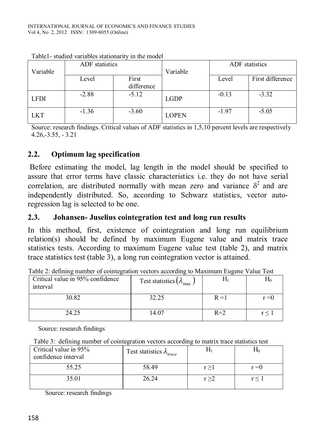| Variable    | ADF statistics |                     | Variable     | ADF statistics |                  |
|-------------|----------------|---------------------|--------------|----------------|------------------|
|             | Level          | First<br>difference |              | Level          | First difference |
| <b>LFDI</b> | $-2.88$        | $-5.12$             | <b>LGDP</b>  | $-0.13$        | $-3.32$          |
| <b>LKT</b>  | $-1.36$        | $-3.60$             | <b>LOPEN</b> | $-1.97$        | $-5.05$          |

Table1- studied variables stationarity in the model

Source: research findings. Critical values of ADF statistics in 1,5,10 percent levels are respectively 4.26,-3.55, - 3.21

#### **2.2. Optimum lag specification**

 Before estimating the model, lag length in the model should be specified to assure that error terms have classic characteristics i.e. they do not have serial correlation, are distributed normally with mean zero and variance  $\delta^2$  and are independently distributed. So, according to Schwarz statistics, vector autoregression lag is selected to be one.

#### **2.3. Johansen- Juselius cointegration test and long run results**

In this method, first, existence of cointegration and long run equilibrium relation(s) should be defined by maximum Eugene value and matrix trace statistics tests. According to maximum Eugene value test (table 2), and matrix trace statistics test (table 3), a long run cointegration vector is attained.

| Critical value in 95% confidence<br>interval | Test statistics $(\lambda_{\text{max}})$ |         | ΠO      |
|----------------------------------------------|------------------------------------------|---------|---------|
| 30.82                                        | 32.25                                    | $R = 1$ | $r = 0$ |
| 24.25                                        | 14.07                                    | $R=2$   | r<      |

Table 2: defining number of cointegration vectors according to Maximum Eugene Value Test

Source: research findings

|  | Table 3: defining number of cointegration vectors according to matrix trace statistics test |  |
|--|---------------------------------------------------------------------------------------------|--|
|  |                                                                                             |  |

| Critical value in 95%<br>confidence interval | Test statistics $\lambda_{\text{trace}}$ |       | Πr      |
|----------------------------------------------|------------------------------------------|-------|---------|
| 55.25                                        | 58.49                                    | r > 1 | $r = 0$ |
| 35.01                                        | 26.24                                    | r > 2 | r<      |

Source: research findings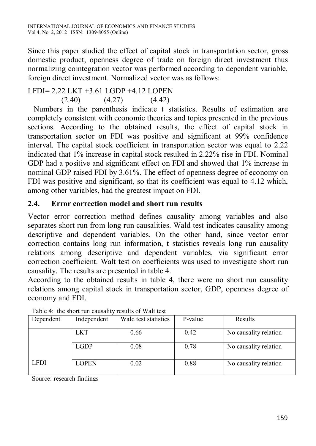Since this paper studied the effect of capital stock in transportation sector, gross domestic product, openness degree of trade on foreign direct investment thus normalizing cointegration vector was performed according to dependent variable, foreign direct investment. Normalized vector was as follows:

## LFDI= 2.22 LKT +3.61 LGDP +4.12 LOPEN

 $(2.40)$   $(4.27)$   $(4.42)$ 

 Numbers in the parenthesis indicate t statistics. Results of estimation are completely consistent with economic theories and topics presented in the previous sections. According to the obtained results, the effect of capital stock in transportation sector on FDI was positive and significant at 99% confidence interval. The capital stock coefficient in transportation sector was equal to 2.22 indicated that 1% increase in capital stock resulted in 2.22% rise in FDI. Nominal GDP had a positive and significant effect on FDI and showed that 1% increase in nominal GDP raised FDI by 3.61%. The effect of openness degree of economy on FDI was positive and significant, so that its coefficient was equal to 4.12 which, among other variables, had the greatest impact on FDI.

## **2.4. Error correction model and short run results**

Vector error correction method defines causality among variables and also separates short run from long run causalities. Wald test indicates causality among descriptive and dependent variables. On the other hand, since vector error correction contains long run information, t statistics reveals long run causality relations among descriptive and dependent variables, via significant error correction coefficient. Walt test on coefficients was used to investigate short run causality. The results are presented in table 4.

According to the obtained results in table 4, there were no short run causality relations among capital stock in transportation sector, GDP, openness degree of economy and FDI.

| Dependent   | Independent  | Wald test statistics | P-value | Results               |
|-------------|--------------|----------------------|---------|-----------------------|
|             | <b>LKT</b>   | 0.66                 | 0.42    | No causality relation |
|             | <b>LGDP</b>  | 0.08                 | 0.78    | No causality relation |
| <b>LFDI</b> | <b>LOPEN</b> | 0.02                 | 0.88    | No causality relation |

Table 4: the short run causality results of Walt test

Source: research findings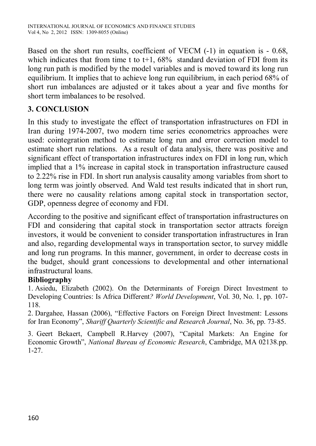Based on the short run results, coefficient of VECM (-1) in equation is - 0.68, which indicates that from time t to  $t+1$ ,  $68\%$  standard deviation of FDI from its long run path is modified by the model variables and is moved toward its long run equilibrium. It implies that to achieve long run equilibrium, in each period 68% of short run imbalances are adjusted or it takes about a year and five months for short term imbalances to be resolved.

# **3. CONCLUSION**

In this study to investigate the effect of transportation infrastructures on FDI in Iran during 1974-2007, two modern time series econometrics approaches were used: cointegration method to estimate long run and error correction model to estimate short run relations. As a result of data analysis, there was positive and significant effect of transportation infrastructures index on FDI in long run, which implied that a 1% increase in capital stock in transportation infrastructure caused to 2.22% rise in FDI. In short run analysis causality among variables from short to long term was jointly observed. And Wald test results indicated that in short run, there were no causality relations among capital stock in transportation sector, GDP, openness degree of economy and FDI.

According to the positive and significant effect of transportation infrastructures on FDI and considering that capital stock in transportation sector attracts foreign investors, it would be convenient to consider transportation infrastructures in Iran and also, regarding developmental ways in transportation sector, to survey middle and long run programs. In this manner, government, in order to decrease costs in the budget, should grant concessions to developmental and other international infrastructural loans.

## **Bibliography**

1. Asiedu, Elizabeth (2002). On the Determinants of Foreign Direct Investment to Developing Countries: Is Africa Different*? World Development*, Vol. 30, No. 1, pp. 107- 118.

2. Dargahee, Hassan (2006), "Effective Factors on Foreign Direct Investment: Lessons for Iran Economy", *Shariff Quarterly Scientific and Research Journal*, No. 36, pp. 73-85.

3. Geert Bekaert, Campbell R.Harvey (2007), "Capital Markets: An Engine for Economic Growth", *National Bureau of Economic Research*, Cambridge, MA 02138.pp. 1-27.